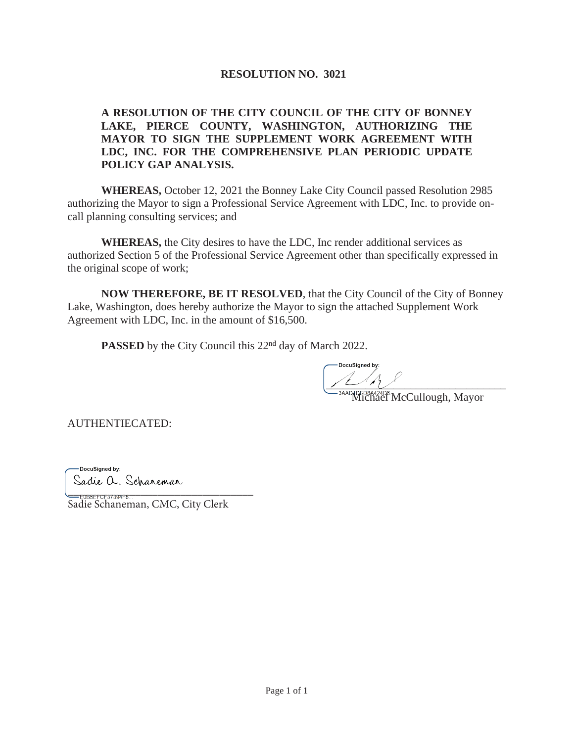## **RESOLUTION NO. 3021**

#### **A RESOLUTION OF THE CITY COUNCIL OF THE CITY OF BONNEY LAKE, PIERCE COUNTY, WASHINGTON, AUTHORIZING THE MAYOR TO SIGN THE SUPPLEMENT WORK AGREEMENT WITH LDC, INC. FOR THE COMPREHENSIVE PLAN PERIODIC UPDATE POLICY GAP ANALYSIS.**

**WHEREAS,** October 12, 2021 the Bonney Lake City Council passed Resolution 2985 authorizing the Mayor to sign a Professional Service Agreement with LDC, Inc. to provide oncall planning consulting services; and

**WHEREAS,** the City desires to have the LDC, Inc render additional services as authorized Section 5 of the Professional Service Agreement other than specifically expressed in the original scope of work;

**NOW THEREFORE, BE IT RESOLVED**, that the City Council of the City of Bonney Lake, Washington, does hereby authorize the Mayor to sign the attached Supplement Work Agreement with LDC, Inc. in the amount of \$16,500.

**PASSED** by the City Council this 22<sup>nd</sup> day of March 2022.

 $\frac{1}{1-\frac{1}{1-\frac{1}{1-\frac{1}{1-\frac{1}{1-\frac{1}{1-\frac{1}{1-\frac{1}{1-\frac{1}{1-\frac{1}{1-\frac{1}{1-\frac{1}{1-\frac{1}{1-\frac{1}{1-\frac{1}{1-\frac{1}{1-\frac{1}{1-\frac{1}{1-\frac{1}{1-\frac{1}{1-\frac{1}{1-\frac{1}{1-\frac{1}{1-\frac{1}{1-\frac{1}{1-\frac{1}{1-\frac{1}{1-\frac{1}{1-\frac{1}{1-\frac{1}{1-\frac{1}{1-\frac{1}{1-\frac{1}{1-\frac{1}{1-\frac{1}{1-\frac{1}{1-\frac{1$ 

Michael McCullough, Mayor

AUTHENTIECATED:

-DocuSigned by: Sadie a. Schareman

=<br>E0BSEFCF37394F8... Sadie Schaneman, CMC, City Clerk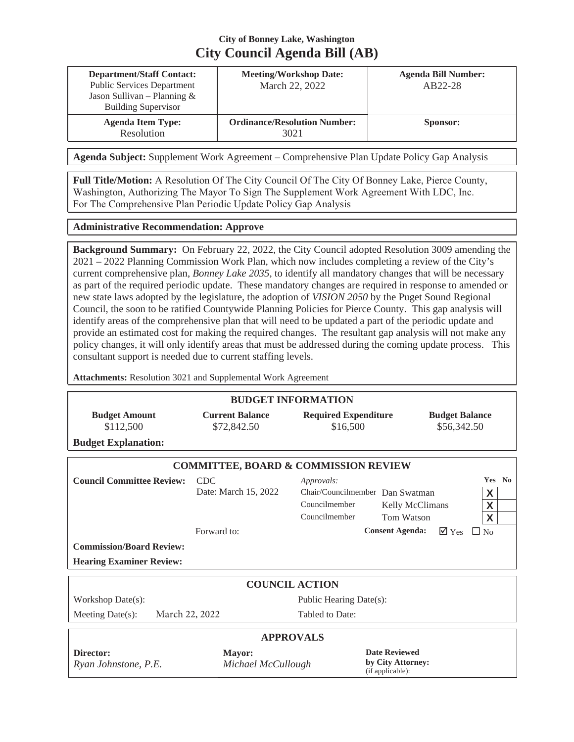# **City of Bonney Lake, Washington City Council Agenda Bill (AB)**

| <b>Department/Staff Contact:</b><br><b>Public Services Department</b><br>Jason Sullivan – Planning $&$<br><b>Building Supervisor</b> | <b>Meeting/Workshop Date:</b><br>March 22, 2022 | <b>Agenda Bill Number:</b><br>AB22-28 |
|--------------------------------------------------------------------------------------------------------------------------------------|-------------------------------------------------|---------------------------------------|
| <b>Agenda Item Type:</b><br>Resolution                                                                                               | <b>Ordinance/Resolution Number:</b><br>3021     | Sponsor:                              |

**Agenda Subject:** Supplement Work Agreement – Comprehensive Plan Update Policy Gap Analysis

**Full Title/Motion:** A Resolution Of The City Council Of The City Of Bonney Lake, Pierce County, Washington, Authorizing The Mayor To Sign The Supplement Work Agreement With LDC, Inc. For The Comprehensive Plan Periodic Update Policy Gap Analysis

#### **Administrative Recommendation: Approve**

**Background Summary:** On February 22, 2022, the City Council adopted Resolution 3009 amending the 2021 – 2022 Planning Commission Work Plan, which now includes completing a review of the City's current comprehensive plan, *Bonney Lake 2035*, to identify all mandatory changes that will be necessary as part of the required periodic update. These mandatory changes are required in response to amended or new state laws adopted by the legislature, the adoption of *VISION 2050* by the Puget Sound Regional Council, the soon to be ratified Countywide Planning Policies for Pierce County. This gap analysis will identify areas of the comprehensive plan that will need to be updated a part of the periodic update and provide an estimated cost for making the required changes. The resultant gap analysis will not make any policy changes, it will only identify areas that must be addressed during the coming update process. This consultant support is needed due to current staffing levels.

**Attachments:** Resolution 3021 and Supplemental Work Agreement

| <b>BUDGET INFORMATION</b>                       |                                       |                                                                                 |                                                               |                                          |  |  |  |
|-------------------------------------------------|---------------------------------------|---------------------------------------------------------------------------------|---------------------------------------------------------------|------------------------------------------|--|--|--|
| <b>Budget Amount</b><br>\$112,500               | <b>Current Balance</b><br>\$72,842.50 | <b>Required Expenditure</b><br>\$16,500                                         |                                                               | <b>Budget Balance</b><br>\$56,342.50     |  |  |  |
| <b>Budget Explanation:</b>                      |                                       |                                                                                 |                                                               |                                          |  |  |  |
| <b>COMMITTEE, BOARD &amp; COMMISSION REVIEW</b> |                                       |                                                                                 |                                                               |                                          |  |  |  |
| <b>Council Committee Review:</b>                | <b>CDC</b><br>Date: March 15, 2022    | Approvals:<br>Chair/Councilmember Dan Swatman<br>Councilmember<br>Councilmember | Kelly McClimans<br>Tom Watson                                 | Yes No<br>X<br>X<br>X                    |  |  |  |
|                                                 | Forward to:                           |                                                                                 | <b>Consent Agenda:</b>                                        | $\overline{\mathsf{M}}$ Yes<br>$\Box$ No |  |  |  |
| <b>Commission/Board Review:</b>                 |                                       |                                                                                 |                                                               |                                          |  |  |  |
| <b>Hearing Examiner Review:</b>                 |                                       |                                                                                 |                                                               |                                          |  |  |  |
| <b>COUNCIL ACTION</b>                           |                                       |                                                                                 |                                                               |                                          |  |  |  |
| Workshop Date(s):                               |                                       | Public Hearing Date(s):                                                         |                                                               |                                          |  |  |  |
| March 22, 2022<br>Meeting Date(s):              |                                       | Tabled to Date:                                                                 |                                                               |                                          |  |  |  |
| <b>APPROVALS</b>                                |                                       |                                                                                 |                                                               |                                          |  |  |  |
| Director:<br>Ryan Johnstone, P.E.               | <b>Mayor:</b><br>Michael McCullough   |                                                                                 | <b>Date Reviewed</b><br>by City Attorney:<br>(if applicable): |                                          |  |  |  |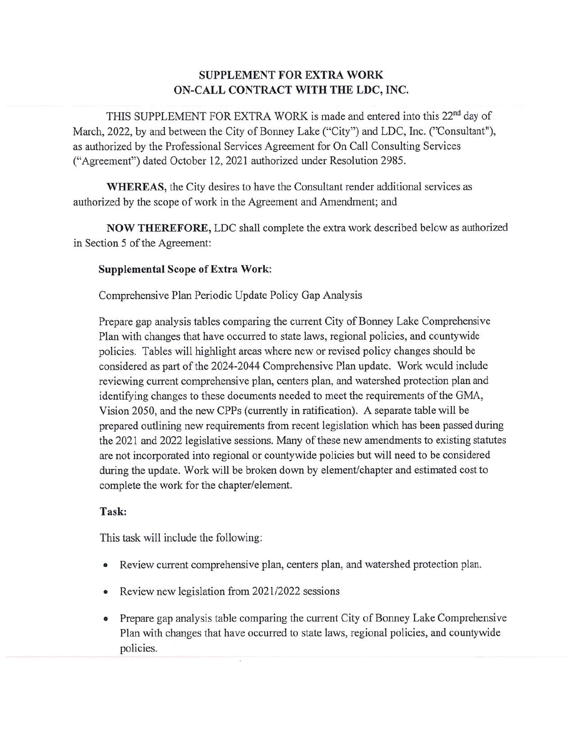# **SUPPLEMENT FOR EXTRA WORK** ON-CALL CONTRACT WITH THE LDC, INC.

THIS SUPPLEMENT FOR EXTRA WORK is made and entered into this 22<sup>nd</sup> day of March, 2022, by and between the City of Bonney Lake ("City") and LDC, Inc. ("Consultant"), as authorized by the Professional Services Agreement for On Call Consulting Services ("Agreement") dated October 12, 2021 authorized under Resolution 2985.

**WHEREAS**, the City desires to have the Consultant render additional services as authorized by the scope of work in the Agreement and Amendment; and

NOW THEREFORE, LDC shall complete the extra work described below as authorized in Section 5 of the Agreement:

#### **Supplemental Scope of Extra Work:**

Comprehensive Plan Periodic Update Policy Gap Analysis

Prepare gap analysis tables comparing the current City of Bonney Lake Comprehensive Plan with changes that have occurred to state laws, regional policies, and countywide policies. Tables will highlight areas where new or revised policy changes should be considered as part of the 2024-2044 Comprehensive Plan update. Work would include reviewing current comprehensive plan, centers plan, and watershed protection plan and identifying changes to these documents needed to meet the requirements of the GMA, Vision 2050, and the new CPPs (currently in ratification). A separate table will be prepared outlining new requirements from recent legislation which has been passed during the 2021 and 2022 legislative sessions. Many of these new amendments to existing statutes are not incorporated into regional or countywide policies but will need to be considered during the update. Work will be broken down by element/chapter and estimated cost to complete the work for the chapter/element.

## Task:

This task will include the following:

- Review current comprehensive plan, centers plan, and watershed protection plan.  $\bullet$
- Review new legislation from 2021/2022 sessions  $\bullet$
- Prepare gap analysis table comparing the current City of Bonney Lake Comprehensive  $\bullet$ Plan with changes that have occurred to state laws, regional policies, and countywide policies.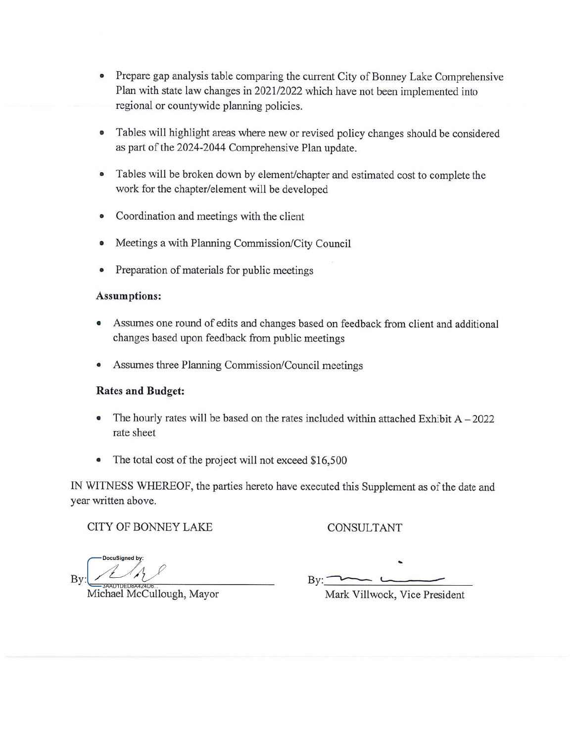- Prepare gap analysis table comparing the current City of Bonney Lake Comprehensive Plan with state law changes in 2021/2022 which have not been implemented into regional or countywide planning policies.
- Tables will highlight areas where new or revised policy changes should be considered  $\bullet$ as part of the 2024-2044 Comprehensive Plan update.
- Tables will be broken down by element/chapter and estimated cost to complete the  $\bullet$ work for the chapter/element will be developed
- Coordination and meetings with the client  $\bullet$
- Meetings a with Planning Commission/City Council  $\bullet$
- Preparation of materials for public meetings  $\bullet$

#### **Assumptions:**

- Assumes one round of edits and changes based on feedback from client and additional  $\bullet$ changes based upon feedback from public meetings
- Assumes three Planning Commission/Council meetings  $\bullet$

#### **Rates and Budget:**

- The hourly rates will be based on the rates included within attached Exhibit  $A 2022$ rate sheet
- The total cost of the project will not exceed \$16,500  $\bullet$

IN WITNESS WHEREOF, the parties hereto have executed this Supplement as of the date and year written above.

CITY OF BONNEY LAKE

## CONSULTANT

DocuSianed by: Bv:

 $By:$ 

Michael McCullough, Mayor

Mark Villwock, Vice President